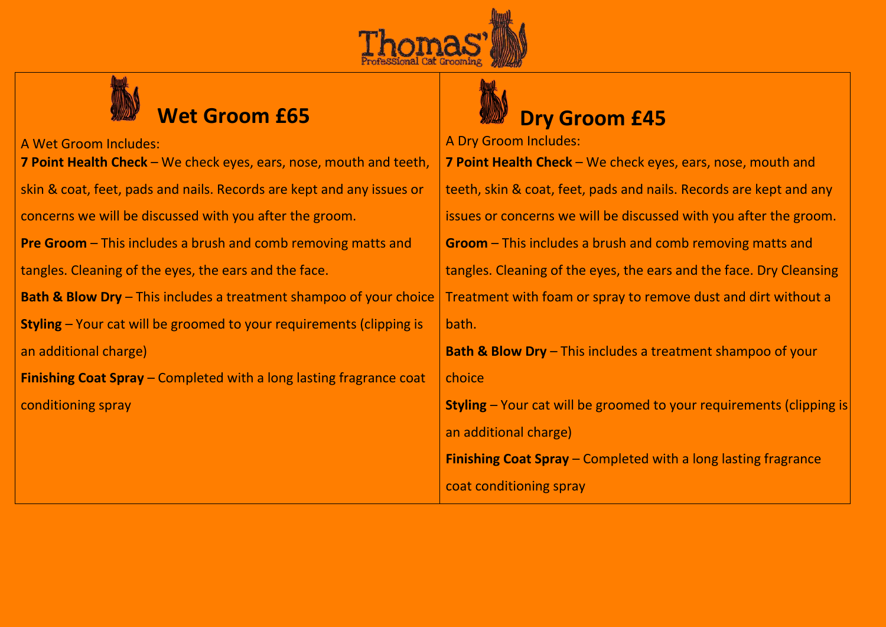



# A Wet Groom Includes: A Dry Groom Includes: **7 Point Health Check** – We check eyes, ears, nose, mouth and teeth, skin & coat, feet, pads and nails. Records are kept and any issues or concerns we will be discussed with you after the groom. **Pre Groom** – This includes a brush and comb removing matts and tangles. Cleaning of the eyes, the ears and the face. **Bath & Blow Dry** – This includes a treatment shampoo of your choice **Styling** – Your cat will be groomed to your requirements (clipping is an additional charge) **Finishing Coat Spray** – Completed with a long lasting fragrance coat conditioning spray

# **Wet Groom £65 Dry Groom £45**

## **7 Point Health Check** – We check eyes, ears, nose, mouth and teeth, skin & coat, feet, pads and nails. Records are kept and any issues or concerns we will be discussed with you after the groom. **Groom** – This includes a brush and comb removing matts and tangles. Cleaning of the eyes, the ears and the face. Dry Cleansing Treatment with foam or spray to remove dust and dirt without a bath. **Bath & Blow Dry** – This includes a treatment shampoo of your choice **Styling** – Your cat will be groomed to your requirements (clipping is an additional charge) **Finishing Coat Spray** – Completed with a long lasting fragrance coat conditioning spray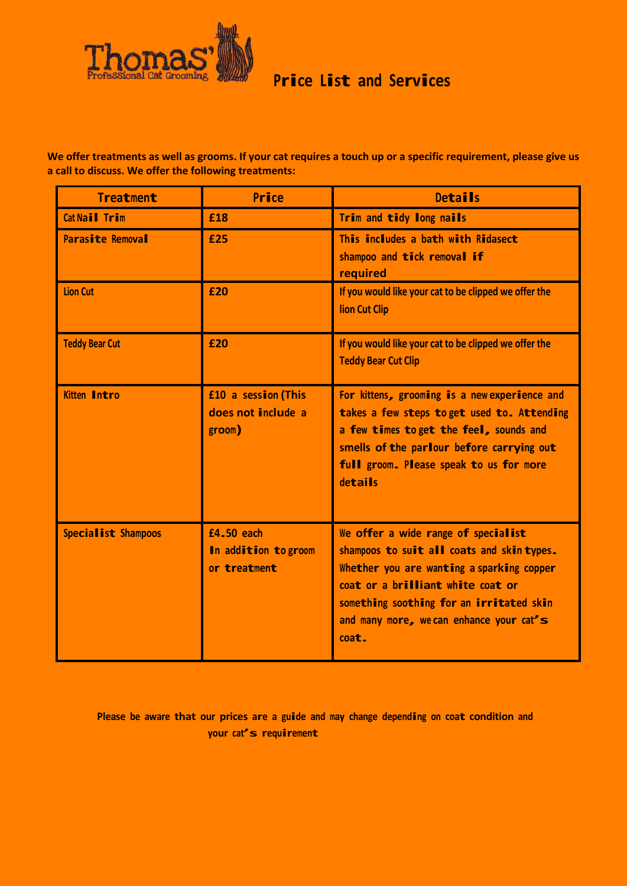

### **Price List and Services**

**We offer treatments as well as grooms. If your cat requires a touch up or a specific requirement, please give us a call to discuss. We offer the following treatments:**

| <b>Treatment</b>           | Price                                               | <b>Details</b>                                                                                                                                                                                                                                                       |
|----------------------------|-----------------------------------------------------|----------------------------------------------------------------------------------------------------------------------------------------------------------------------------------------------------------------------------------------------------------------------|
| Cat Nail Trim              | £18                                                 | Trim and tidy long nails                                                                                                                                                                                                                                             |
| <b>Parasite Removal</b>    | £25                                                 | This includes a bath with Ridasect<br>shampoo and tick removal if<br>required                                                                                                                                                                                        |
| <b>Lion Cut</b>            | £20                                                 | If you would like your cat to be clipped we offer the<br><b>lion Cut Clip</b>                                                                                                                                                                                        |
| <b>Teddy Bear Cut</b>      | £20                                                 | If you would like your cat to be clipped we offer the<br><b>Teddy Bear Cut Clip</b>                                                                                                                                                                                  |
| <b>Kitten Intro</b>        | £10 a session (This<br>does not include a<br>groom) | For kittens, grooming is a new experience and<br>takes a few steps to get used to. Attending<br>a few times to get the feel, sounds and<br>smells of the parlour before carrying out<br>full groom. Please speak to us for more<br>details                           |
| <b>Specialist Shampoos</b> | £4.50 each<br>In addition to groom<br>or treatment  | We offer a wide range of specialist<br>shampoos to suit all coats and skin types.<br>Whether you are wanting a sparking copper<br>coat or a brilliant white coat or<br>something soothing for an irritated skin<br>and many more, we can enhance your cat's<br>coat. |

**Please be aware that our prices are <sup>a</sup> guide and may change depending on coat condition and your cat's requirement**